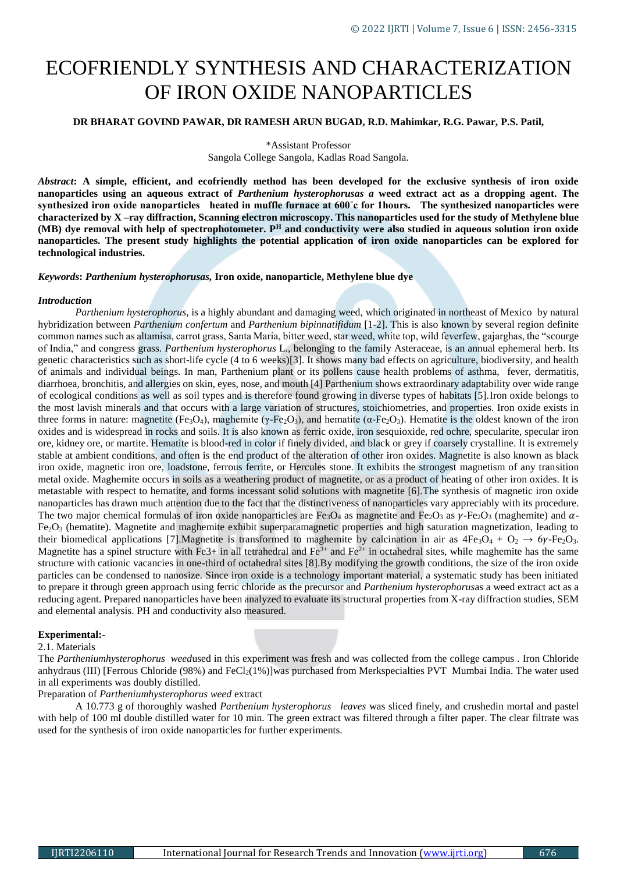# ECOFRIENDLY SYNTHESIS AND CHARACTERIZATION OF IRON OXIDE NANOPARTICLES

# **DR BHARAT GOVIND PAWAR, DR RAMESH ARUN BUGAD, R.D. Mahimkar, R.G. Pawar, P.S. Patil,**

\*Assistant Professor

Sangola College Sangola, Kadlas Road Sangola.

*Abstract***: A simple, efficient, and ecofriendly method has been developed for the exclusive synthesis of iron oxide nanoparticles using an aqueous extract of** *Parthenium hysterophorusas a* **weed extract act as a dropping agent. The synthesized iron oxide nanoparticles heated in muffle furnace at 600˚c for 1hours. The synthesized nanoparticles were characterized by X –ray diffraction, Scanning electron microscopy. This nanoparticles used for the study of Methylene blue (MB) dye removal with help of spectrophotometer. P<sup>H</sup> and conductivity were also studied in aqueous solution iron oxide nanoparticles. The present study highlights the potential application of iron oxide nanoparticles can be explored for technological industries.**

*Keywords***:** *Parthenium hysterophorusas,* **Iron oxide, nanoparticle, Methylene blue dye**

#### *Introduction*

*Parthenium hysterophorus,* is a highly abundant and damaging weed, which originated in northeast of Mexico by natural hybridization between *Parthenium confertum* and *Parthenium bipinnatifidum* [1-2]. This is also known by several region definite common names such as altamisa, carrot grass, Santa Maria, bitter weed, star weed, white top, wild feverfew, gajarghas, the "scourge of India," and congress grass. *Parthenium hysterophorus* L., belonging to the family Asteraceae, is an annual ephemeral herb. Its genetic characteristics such as short-life cycle (4 to 6 weeks)[3]. It shows many bad effects on agriculture, biodiversity, and health of animals and individual beings. In man, Parthenium plant or its pollens cause health problems of asthma, fever, dermatitis, diarrhoea, bronchitis, and allergies on skin, eyes, nose, and mouth [4] Parthenium shows extraordinary adaptability over wide range of ecological conditions as well as soil types and is therefore found growing in diverse types of habitats [5].Iron oxide belongs to the most lavish minerals and that occurs with a large variation of structures, stoichiometries, and properties. Iron oxide exists in three forms in nature: magnetite (Fe<sub>3</sub>O<sub>4</sub>), maghemite (γ-Fe<sub>2</sub>O<sub>3</sub>), and hematite (α-Fe<sub>2</sub>O<sub>3</sub>). Hematite is the oldest known of the iron oxides and is widespread in rocks and soils. It is also known as ferric oxide, iron sesquioxide, red ochre, specularite, specular iron ore, kidney ore, or martite. Hematite is blood-red in color if finely divided, and black or grey if coarsely crystalline. It is extremely stable at ambient conditions, and often is the end product of the alteration of other iron oxides. Magnetite is also known as black iron oxide, magnetic iron ore, loadstone, ferrous ferrite, or Hercules stone. It exhibits the strongest magnetism of any transition metal oxide. Maghemite occurs in soils as a weathering product of magnetite, or as a product of heating of other iron oxides. It is metastable with respect to hematite, and forms incessant solid solutions with magnetite [6].The synthesis of magnetic iron oxide nanoparticles has drawn much attention due to the fact that the distinctiveness of nanoparticles vary appreciably with its procedure. The two major chemical formulas of iron oxide nanoparticles are Fe<sub>3</sub>O<sub>4</sub> as magnetite and Fe<sub>2</sub>O<sub>3</sub> as  $\gamma$ -Fe<sub>2</sub>O<sub>3</sub> (maghemite) and  $\alpha$ -Fe<sub>2</sub>O<sub>3</sub> (hematite). Magnetite and maghemite exhibit superparamagnetic properties and high saturation magnetization, leading to their biomedical applications [7]. Magnetite is transformed to maghemite by calcination in air as  $4Fe_3O_4 + O_2 \rightarrow 6\gamma$ -Fe<sub>2</sub>O<sub>3</sub>. Magnetite has a spinel structure with Fe3+ in all tetrahedral and  $Fe^{3+}$  and  $Fe^{2+}$  in octahedral sites, while maghemite has the same structure with cationic vacancies in one-third of octahedral sites [8].By modifying the growth conditions, the size of the iron oxide particles can be condensed to nanosize. Since iron oxide is a technology important material, a systematic study has been initiated to prepare it through green approach using ferric chloride as the precursor and *Parthenium hysterophorus*as a weed extract act as a reducing agent. Prepared nanoparticles have been analyzed to evaluate its structural properties from X-ray diffraction studies, SEM and elemental analysis. PH and conductivity also measured.

## **Experimental:-**

#### 2.1. Materials

The *Partheniumhysterophorus weed*used in this experiment was fresh and was collected from the college campus . Iron Chloride anhydraus (III) [Ferrous Chloride (98%) and  $FeCl<sub>2</sub>(1%)$ ]was purchased from Merkspecialties PVT Mumbai India. The water used in all experiments was doubly distilled.

## Preparation of *Partheniumhysterophorus weed* extract

A 10.773 g of thoroughly washed *Parthenium hysterophorus leaves* was sliced finely, and crushedin mortal and pastel with help of 100 ml double distilled water for 10 min. The green extract was filtered through a filter paper. The clear filtrate was used for the synthesis of iron oxide nanoparticles for further experiments.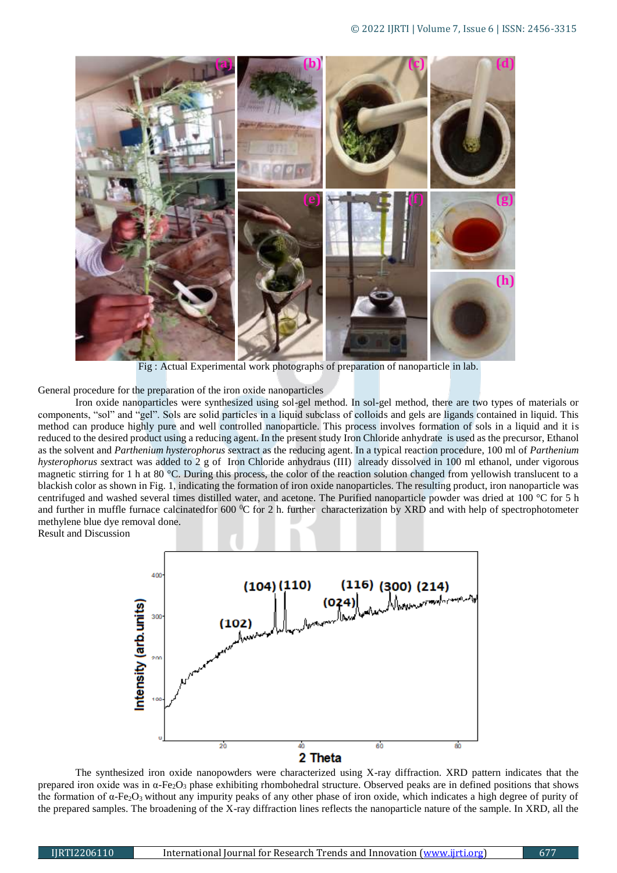

Fig : Actual Experimental work photographs of preparation of nanoparticle in lab.

General procedure for the preparation of the iron oxide nanoparticles

Iron oxide nanoparticles were synthesized using sol-gel method. In sol-gel method, there are two types of materials or components, "sol" and "gel". Sols are solid particles in a liquid subclass of colloids and gels are ligands contained in liquid. This method can produce highly pure and well controlled nanoparticle. This process involves formation of sols in a liquid and it is reduced to the desired product using a reducing agent. In the present study Iron Chloride anhydrate is used as the precursor, Ethanol as the solvent and *Parthenium hysterophorus s*extract as the reducing agent. In a typical reaction procedure, 100 ml of *Parthenium hysterophorus s*extract was added to 2 g of Iron Chloride anhydraus (III) already dissolved in 100 ml ethanol, under vigorous magnetic stirring for 1 h at 80 °C. During this process, the color of the reaction solution changed from yellowish translucent to a blackish color as shown in Fig. 1, indicating the formation of iron oxide nanoparticles. The resulting product, iron nanoparticle was centrifuged and washed several times distilled water, and acetone. The Purified nanoparticle powder was dried at 100 °C for 5 h and further in muffle furnace calcinatedfor 600 °C for 2 h. further characterization by XRD and with help of spectrophotometer methylene blue dye removal done.

Result and Discussion



The synthesized iron oxide nanopowders were characterized using X-ray diffraction. XRD pattern indicates that the prepared iron oxide was in α-Fe2O<sup>3</sup> phase exhibiting rhombohedral structure. Observed peaks are in defined positions that shows the formation of  $\alpha$ -Fe<sub>2</sub>O<sub>3</sub> without any impurity peaks of any other phase of iron oxide, which indicates a high degree of purity of the prepared samples. The broadening of the X-ray diffraction lines reflects the nanoparticle nature of the sample. In XRD, all the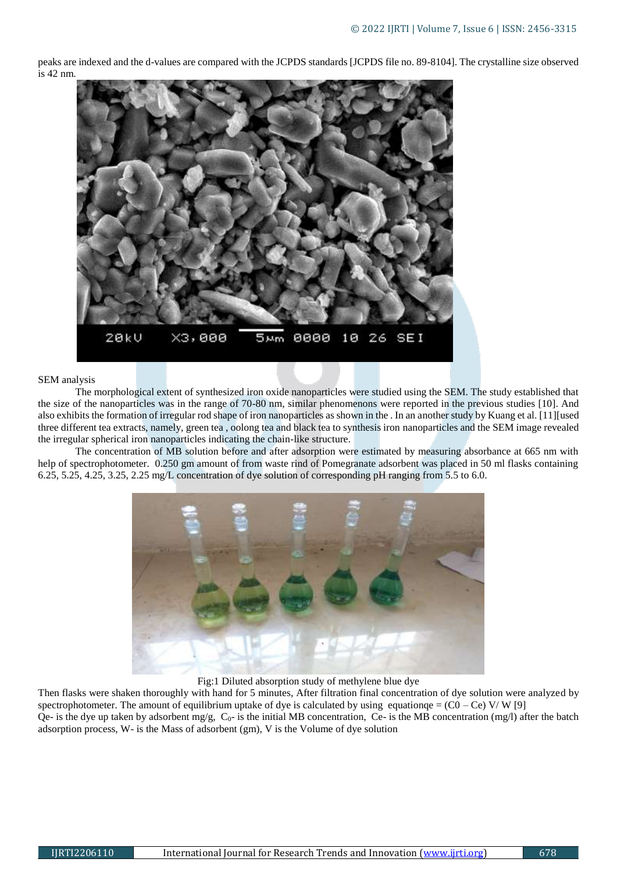peaks are indexed and the d-values are compared with the JCPDS standards [JCPDS file no. 89-8104]. The crystalline size observed is 42 nm.



### SEM analysis

The morphological extent of synthesized iron oxide nanoparticles were studied using the SEM. The study established that the size of the nanoparticles was in the range of 70-80 nm, similar phenomenons were reported in the previous studies [10]. And also exhibits the formation of irregular rod shape of iron nanoparticles as shown in the . In an another study by Kuang et al. [11][used three different tea extracts, namely, green tea , oolong tea and black tea to synthesis iron nanoparticles and the SEM image revealed the irregular spherical iron nanoparticles indicating the chain-like structure.

The concentration of MB solution before and after adsorption were estimated by measuring absorbance at 665 nm with help of spectrophotometer. 0.250 gm amount of from waste rind of Pomegranate adsorbent was placed in 50 ml flasks containing 6.25, 5.25, 4.25, 3.25, 2.25 mg/L concentration of dye solution of corresponding pH ranging from 5.5 to 6.0.



Fig:1 Diluted absorption study of methylene blue dye

Then flasks were shaken thoroughly with hand for 5 minutes, After filtration final concentration of dye solution were analyzed by spectrophotometer. The amount of equilibrium uptake of dye is calculated by using equationqe =  $(C0 - Ce)$  V/W [9] Qe- is the dye up taken by adsorbent mg/g,  $C_0$ - is the initial MB concentration, Ce- is the MB concentration (mg/l) after the batch adsorption process, W- is the Mass of adsorbent (gm), V is the Volume of dye solution